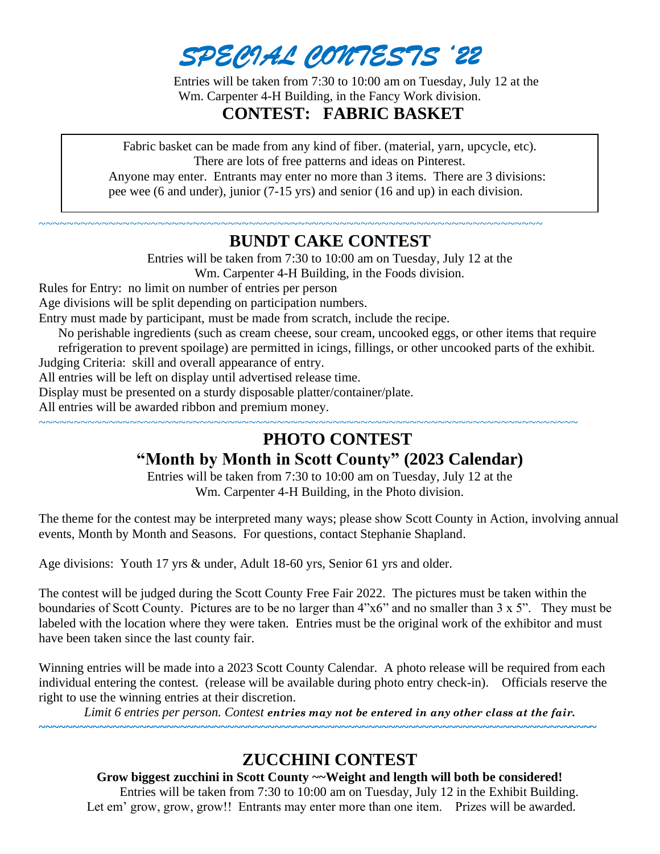*SPECIAL CONTESTS '22* 

Entries will be taken from 7:30 to 10:00 am on Tuesday, July 12 at the Wm. Carpenter 4-H Building, in the Fancy Work division.  **CONTEST: FABRIC BASKET**

Fabric basket can be made from any kind of fiber. (material, yarn, upcycle, etc). There are lots of free patterns and ideas on Pinterest. Anyone may enter. Entrants may enter no more than 3 items. There are 3 divisions:

pee wee (6 and under), junior (7-15 yrs) and senior (16 and up) in each division.

~~~~~~~~~~~~~~~~~~~~~~~~~~~~~~~~~~~~~~~~~~~~~~~~~~~~~~~~~~~~~~~~~~~~~~~~

### **BUNDT CAKE CONTEST**

Entries will be taken from 7:30 to 10:00 am on Tuesday, July 12 at the Wm. Carpenter 4-H Building, in the Foods division.

Rules for Entry: no limit on number of entries per person

Age divisions will be split depending on participation numbers.

Entry must made by participant, must be made from scratch, include the recipe.

No perishable ingredients (such as cream cheese, sour cream, uncooked eggs, or other items that require refrigeration to prevent spoilage) are permitted in icings, fillings, or other uncooked parts of the exhibit.

Judging Criteria: skill and overall appearance of entry.

All entries will be left on display until advertised release time.

Display must be presented on a sturdy disposable platter/container/plate.

All entries will be awarded ribbon and premium money.

#### ~~~~~~~~~~~~~~~~~~~~~~~~~~~~~~~~~~~~~~~~~~~~~~~~~~~~~~~~~~~~~~~~~~~~~~~~~~~~~  **PHOTO CONTEST**

# **"Month by Month in Scott County" (2023 Calendar)**

Entries will be taken from 7:30 to 10:00 am on Tuesday, July 12 at the Wm. Carpenter 4-H Building, in the Photo division.

The theme for the contest may be interpreted many ways; please show Scott County in Action, involving annual events, Month by Month and Seasons. For questions, contact Stephanie Shapland.

Age divisions: Youth 17 yrs & under, Adult 18-60 yrs, Senior 61 yrs and older.

The contest will be judged during the Scott County Free Fair 2022. The pictures must be taken within the boundaries of Scott County. Pictures are to be no larger than 4"x6" and no smaller than 3 x 5". They must be labeled with the location where they were taken. Entries must be the original work of the exhibitor and must have been taken since the last county fair.

Winning entries will be made into a 2023 Scott County Calendar. A photo release will be required from each individual entering the contest. (release will be available during photo entry check-in). Officials reserve the right to use the winning entries at their discretion.

*Limit 6 entries per person. Contest entries may not be entered in any other class at the fair.*

**~~~~~~~~~~~~~~~~~~~~~~~~~~~~~~~~~~~~~~~~~~~~~~~~~~~~~~~~~~~~~~~~~~~~~~~~~~~~~~~~~~~**

## **ZUCCHINI CONTEST**

#### **Grow biggest zucchini in Scott County ~~Weight and length will both be considered!**

Entries will be taken from 7:30 to 10:00 am on Tuesday, July 12 in the Exhibit Building. Let em' grow, grow, grow!! Entrants may enter more than one item. Prizes will be awarded.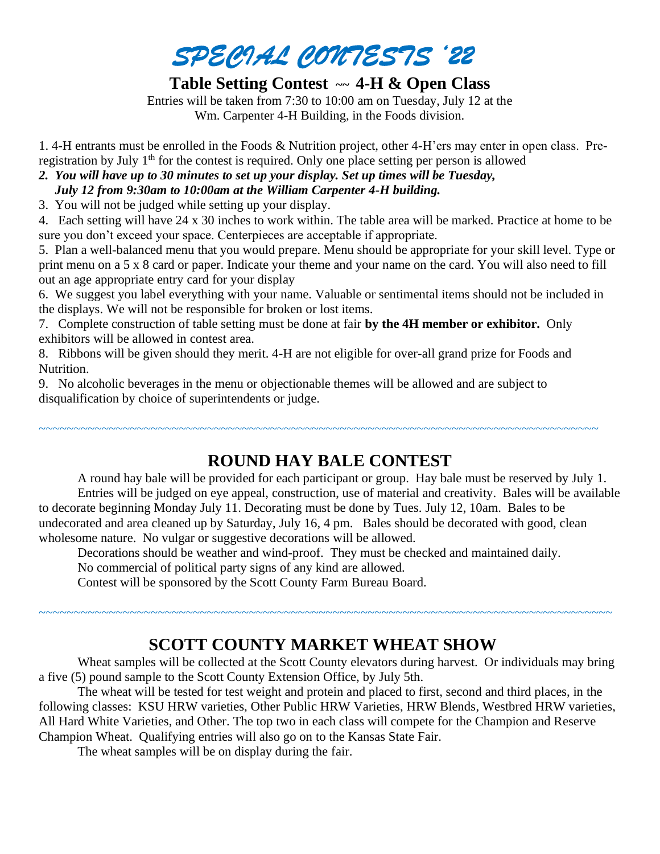

## **Table Setting Contest ~~ 4-H & Open Class**

Entries will be taken from 7:30 to 10:00 am on Tuesday, July 12 at the Wm. Carpenter 4-H Building, in the Foods division.

1. 4-H entrants must be enrolled in the Foods & Nutrition project, other 4-H'ers may enter in open class. Preregistration by July 1<sup>th</sup> for the contest is required. Only one place setting per person is allowed

#### *2. You will have up to 30 minutes to set up your display. Set up times will be Tuesday, July 12 from 9:30am to 10:00am at the William Carpenter 4-H building.*

3. You will not be judged while setting up your display.

4. Each setting will have 24 x 30 inches to work within. The table area will be marked. Practice at home to be sure you don't exceed your space. Centerpieces are acceptable if appropriate.

5. Plan a well-balanced menu that you would prepare. Menu should be appropriate for your skill level. Type or print menu on a 5 x 8 card or paper. Indicate your theme and your name on the card. You will also need to fill out an age appropriate entry card for your display

6. We suggest you label everything with your name. Valuable or sentimental items should not be included in the displays. We will not be responsible for broken or lost items.

7. Complete construction of table setting must be done at fair **by the 4H member or exhibitor.** Only exhibitors will be allowed in contest area.

8. Ribbons will be given should they merit. 4-H are not eligible for over-all grand prize for Foods and Nutrition.

9. No alcoholic beverages in the menu or objectionable themes will be allowed and are subject to disqualification by choice of superintendents or judge.

# **ROUND HAY BALE CONTEST**

~~~~~~~~~~~~~~~~~~~~~~~~~~~~~~~~~~~~~~~~~~~~~~~~~~~~~~~~~~~~~~~~~~~~~~~~~~~~~~~~

A round hay bale will be provided for each participant or group. Hay bale must be reserved by July 1. Entries will be judged on eye appeal, construction, use of material and creativity. Bales will be available to decorate beginning Monday July 11. Decorating must be done by Tues. July 12, 10am. Bales to be undecorated and area cleaned up by Saturday, July 16, 4 pm. Bales should be decorated with good, clean wholesome nature. No vulgar or suggestive decorations will be allowed.

Decorations should be weather and wind-proof. They must be checked and maintained daily.

No commercial of political party signs of any kind are allowed.

Contest will be sponsored by the Scott County Farm Bureau Board.

# **SCOTT COUNTY MARKET WHEAT SHOW**

~~~~~~~~~~~~~~~~~~~~~~~~~~~~~~~~~~~~~~~~~~~~~~~~~~~~~~~~~~~~~~~~~~~~~~~~~~~~~~~~~~

Wheat samples will be collected at the Scott County elevators during harvest. Or individuals may bring a five (5) pound sample to the Scott County Extension Office, by July 5th.

The wheat will be tested for test weight and protein and placed to first, second and third places, in the following classes: KSU HRW varieties, Other Public HRW Varieties, HRW Blends, Westbred HRW varieties, All Hard White Varieties, and Other. The top two in each class will compete for the Champion and Reserve Champion Wheat. Qualifying entries will also go on to the Kansas State Fair.

The wheat samples will be on display during the fair.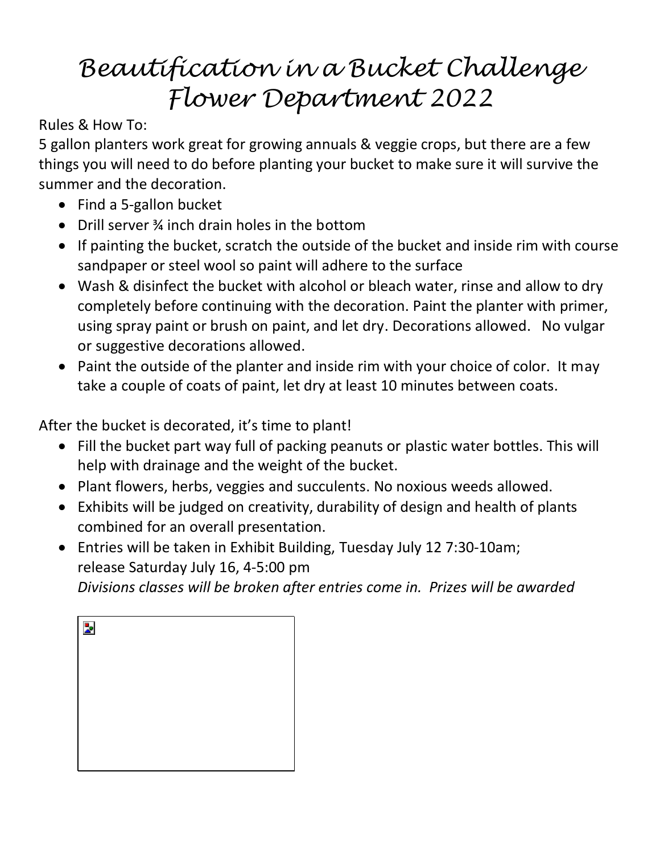# *Beautification in a Bucket Challenge Flower Department 2022*

Rules & How To:

5 gallon planters work great for growing annuals & veggie crops, but there are a few things you will need to do before planting your bucket to make sure it will survive the summer and the decoration.

- Find a 5-gallon bucket
- Drill server 3/4 inch drain holes in the bottom
- If painting the bucket, scratch the outside of the bucket and inside rim with course sandpaper or steel wool so paint will adhere to the surface
- Wash & disinfect the bucket with alcohol or bleach water, rinse and allow to dry completely before continuing with the decoration. Paint the planter with primer, using spray paint or brush on paint, and let dry. Decorations allowed. No vulgar or suggestive decorations allowed.
- Paint the outside of the planter and inside rim with your choice of color. It may take a couple of coats of paint, let dry at least 10 minutes between coats.

After the bucket is decorated, it's time to plant!

- Fill the bucket part way full of packing peanuts or plastic water bottles. This will help with drainage and the weight of the bucket.
- Plant flowers, herbs, veggies and succulents. No noxious weeds allowed.
- Exhibits will be judged on creativity, durability of design and health of plants combined for an overall presentation.
- Entries will be taken in Exhibit Building, Tuesday July 12 7:30-10am; release Saturday July 16, 4-5:00 pm *Divisions classes will be broken after entries come in. Prizes will be awarded*